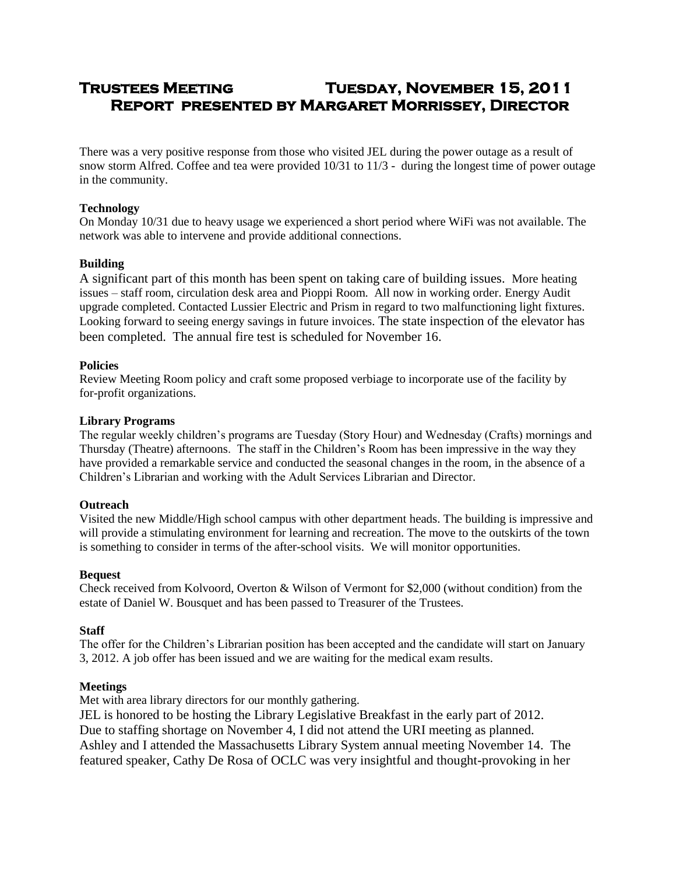# **Trustees Meeting Tuesday, November 15, 2011 Report presented by Margaret Morrissey, Director**

There was a very positive response from those who visited JEL during the power outage as a result of snow storm Alfred. Coffee and tea were provided 10/31 to 11/3 - during the longest time of power outage in the community.

#### **Technology**

On Monday 10/31 due to heavy usage we experienced a short period where WiFi was not available. The network was able to intervene and provide additional connections.

## **Building**

A significant part of this month has been spent on taking care of building issues. More heating issues – staff room, circulation desk area and Pioppi Room. All now in working order. Energy Audit upgrade completed. Contacted Lussier Electric and Prism in regard to two malfunctioning light fixtures. Looking forward to seeing energy savings in future invoices. The state inspection of the elevator has been completed. The annual fire test is scheduled for November 16.

## **Policies**

Review Meeting Room policy and craft some proposed verbiage to incorporate use of the facility by for-profit organizations.

#### **Library Programs**

The regular weekly children's programs are Tuesday (Story Hour) and Wednesday (Crafts) mornings and Thursday (Theatre) afternoons. The staff in the Children's Room has been impressive in the way they have provided a remarkable service and conducted the seasonal changes in the room, in the absence of a Children's Librarian and working with the Adult Services Librarian and Director.

#### **Outreach**

Visited the new Middle/High school campus with other department heads. The building is impressive and will provide a stimulating environment for learning and recreation. The move to the outskirts of the town is something to consider in terms of the after-school visits. We will monitor opportunities.

#### **Bequest**

Check received from Kolvoord, Overton & Wilson of Vermont for \$2,000 (without condition) from the estate of Daniel W. Bousquet and has been passed to Treasurer of the Trustees.

#### **Staff**

The offer for the Children's Librarian position has been accepted and the candidate will start on January 3, 2012. A job offer has been issued and we are waiting for the medical exam results.

#### **Meetings**

Met with area library directors for our monthly gathering.

JEL is honored to be hosting the Library Legislative Breakfast in the early part of 2012.

Due to staffing shortage on November 4, I did not attend the URI meeting as planned.

Ashley and I attended the Massachusetts Library System annual meeting November 14. The featured speaker, Cathy De Rosa of OCLC was very insightful and thought-provoking in her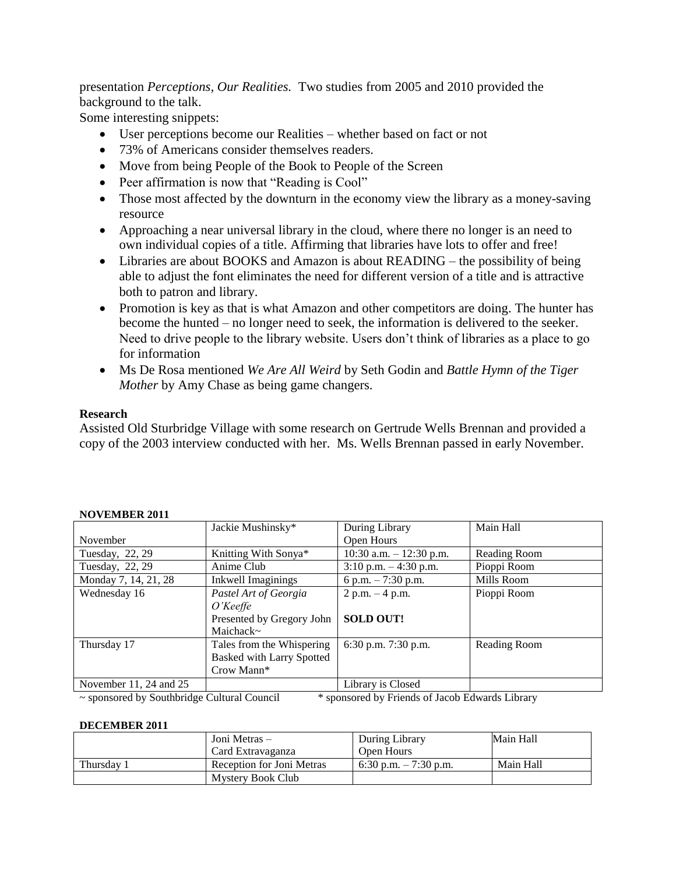presentation *Perceptions, Our Realities.* Two studies from 2005 and 2010 provided the background to the talk.

Some interesting snippets:

- User perceptions become our Realities whether based on fact or not
- 73% of Americans consider themselves readers.
- Move from being People of the Book to People of the Screen
- Peer affirmation is now that "Reading is Cool"
- Those most affected by the downturn in the economy view the library as a money-saving resource
- Approaching a near universal library in the cloud, where there no longer is an need to own individual copies of a title. Affirming that libraries have lots to offer and free!
- Libraries are about BOOKS and Amazon is about READING the possibility of being able to adjust the font eliminates the need for different version of a title and is attractive both to patron and library.
- Promotion is key as that is what Amazon and other competitors are doing. The hunter has become the hunted – no longer need to seek, the information is delivered to the seeker. Need to drive people to the library website. Users don't think of libraries as a place to go for information
- Ms De Rosa mentioned *We Are All Weird* by Seth Godin and *Battle Hymn of the Tiger Mother* by Amy Chase as being game changers.

# **Research**

Assisted Old Sturbridge Village with some research on Gertrude Wells Brennan and provided a copy of the 2003 interview conducted with her. Ms. Wells Brennan passed in early November.

|                        | Jackie Mushinsky*                | During Library             | Main Hall    |
|------------------------|----------------------------------|----------------------------|--------------|
| November               |                                  | Open Hours                 |              |
| Tuesday, 22, 29        | Knitting With Sonya*             | $10:30$ a.m. $-12:30$ p.m. | Reading Room |
| Tuesday, 22, 29        | Anime Club                       | $3:10$ p.m. $-4:30$ p.m.   | Pioppi Room  |
| Monday 7, 14, 21, 28   | <b>Inkwell Imaginings</b>        | 6 p.m. $-7:30$ p.m.        | Mills Room   |
| Wednesday 16           | Pastel Art of Georgia            | $2 p.m. - 4 p.m.$          | Pioppi Room  |
|                        | $O$ 'Keeffe                      |                            |              |
|                        | Presented by Gregory John        | <b>SOLD OUT!</b>           |              |
|                        | Maichack~                        |                            |              |
| Thursday 17            | Tales from the Whispering        | 6:30 p.m. 7:30 p.m.        | Reading Room |
|                        | <b>Basked with Larry Spotted</b> |                            |              |
|                        | Crow Mann*                       |                            |              |
| November 11, 24 and 25 |                                  | Library is Closed          |              |

# **NOVEMBER 2011**

~ sponsored by Southbridge Cultural Council \* sponsored by Friends of Jacob Edwards Library

#### **DECEMBER 2011**

|            | Joni Metras –             | During Library         | Main Hall |
|------------|---------------------------|------------------------|-----------|
|            | Card Extravaganza         | Open Hours             |           |
| Thursday 1 | Reception for Joni Metras | 6:30 p.m. $-7:30$ p.m. | Main Hall |
|            | Mystery Book Club         |                        |           |